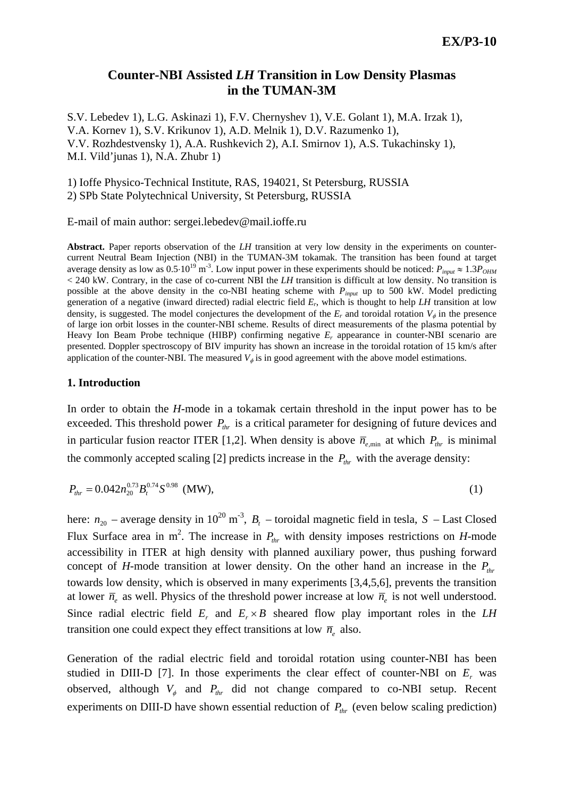# **Counter-NBI Assisted** *LH* **Transition in Low Density Plasmas in the TUMAN-3M**

S.V. Lebedev 1), L.G. Askinazi 1), F.V. Chernyshev 1), V.E. Golant 1), M.A. Irzak 1), V.A. Kornev 1), S.V. Krikunov 1), A.D. Melnik 1), D.V. Razumenko 1), V.V. Rozhdestvensky 1), A.A. Rushkevich 2), A.I. Smirnov 1), A.S. Tukachinsky 1), M.I. Vild'junas 1), N.A. Zhubr 1)

1) Ioffe Physico-Technical Institute, RAS, 194021, St Petersburg, RUSSIA 2) SPb State Polytechnical University, St Petersburg, RUSSIA

E-mail of main author: sergei.lebedev@mail.ioffe.ru

**Abstract.** Paper reports observation of the *LH* transition at very low density in the experiments on countercurrent Neutral Beam Injection (NBI) in the TUMAN-3M tokamak. The transition has been found at target average density as low as  $0.5 \cdot 10^{19}$  m<sup>-3</sup>. Low input power in these experiments should be noticed:  $P_{input} \approx 1.3 P_{OHM}$ < 240 kW. Contrary, in the case of co-current NBI the *LH* transition is difficult at low density. No transition is possible at the above density in the co-NBI heating scheme with *Pinput* up to 500 kW. Model predicting generation of a negative (inward directed) radial electric field *Er*, which is thought to help *LH* transition at low density, is suggested. The model conjectures the development of the  $E_r$  and toroidal rotation  $V_\phi$  in the presence of large ion orbit losses in the counter-NBI scheme. Results of direct measurements of the plasma potential by Heavy Ion Beam Probe technique (HIBP) confirming negative  $E_r$  appearance in counter-NBI scenario are presented. Doppler spectroscopy of BIV impurity has shown an increase in the toroidal rotation of 15 km/s after application of the counter-NBI. The measured  $V_{\phi}$  is in good agreement with the above model estimations.

### **1. Introduction**

In order to obtain the *H*-mode in a tokamak certain threshold in the input power has to be exceeded. This threshold power  $P_{thr}$  is a critical parameter for designing of future devices and in particular fusion reactor ITER [1,2]. When density is above  $\bar{n}_{e,\text{min}}$  at which  $P_{thr}$  is minimal the commonly accepted scaling [2] predicts increase in the  $P_{thr}$  with the average density:

$$
P_{thr} = 0.042 n_{20}^{0.73} B_t^{0.74} S^{0.98} \text{ (MW)},\tag{1}
$$

here:  $n_{20}$  – average density in  $10^{20}$  m<sup>-3</sup>,  $B_t$  – toroidal magnetic field in tesla, *S* – Last Closed Flux Surface area in m<sup>2</sup>. The increase in  $P_{thr}$  with density imposes restrictions on *H*-mode accessibility in ITER at high density with planned auxiliary power, thus pushing forward concept of *H*-mode transition at lower density. On the other hand an increase in the  $P_{thr}$ towards low density, which is observed in many experiments [3,4,5,6], prevents the transition at lower  $\bar{n}_e$  as well. Physics of the threshold power increase at low  $\bar{n}_e$  is not well understood. Since radial electric field  $E_r$  and  $E_r \times B$  sheared flow play important roles in the *LH* transition one could expect they effect transitions at low  $\bar{n}_e$  also.

Generation of the radial electric field and toroidal rotation using counter-NBI has been studied in DIII-D [7]. In those experiments the clear effect of counter-NBI on  $E_r$  was observed, although  $V_{\phi}$  and  $P_{thr}$  did not change compared to co-NBI setup. Recent experiments on DIII-D have shown essential reduction of  $P_{thr}$  (even below scaling prediction)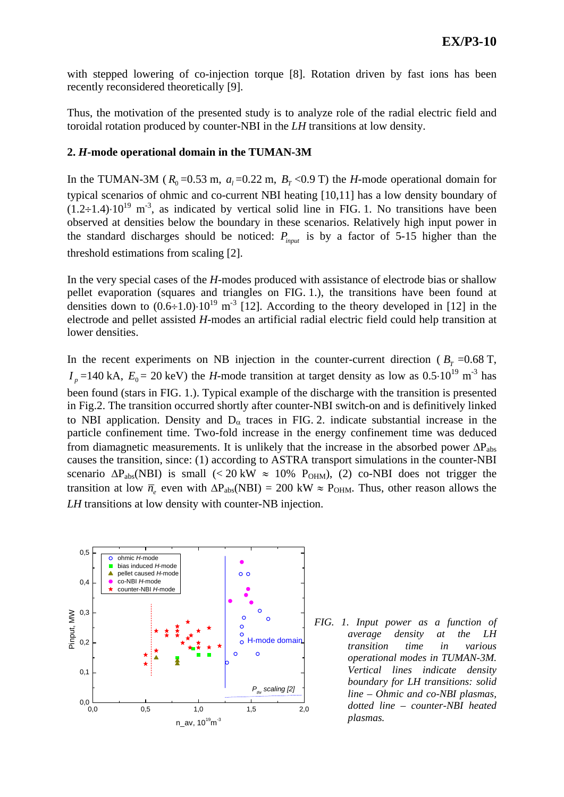with stepped lowering of co-injection torque [8]. Rotation driven by fast ions has been recently reconsidered theoretically [9].

Thus, the motivation of the presented study is to analyze role of the radial electric field and toroidal rotation produced by counter-NBI in the *LH* transitions at low density.

#### **2.** *H***-mode operational domain in the TUMAN-3M**

In the TUMAN-3M ( $R_0 = 0.53$  m,  $a_1 = 0.22$  m,  $B_T < 0.9$  T) the *H*-mode operational domain for typical scenarios of ohmic and co-current NBI heating [10,11] has a low density boundary of  $(1.2\div 1.4)\cdot 10^{19}$  m<sup>-3</sup>, as indicated by vertical solid line in FIG. 1. No transitions have been observed at densities below the boundary in these scenarios. Relatively high input power in the standard discharges should be noticed:  $P_{input}$  is by a factor of 5-15 higher than the threshold estimations from scaling [2].

In the very special cases of the *H*-modes produced with assistance of electrode bias or shallow pellet evaporation (squares and triangles on FIG. 1.), the transitions have been found at densities down to  $(0.6 \div 1.0) \cdot 10^{19}$  m<sup>-3</sup> [12]. According to the theory developed in [12] in the electrode and pellet assisted *H*-modes an artificial radial electric field could help transition at lower densities.

In the recent experiments on NB injection in the counter-current direction ( $B_T = 0.68$  T,  $I_p$  =140 kA,  $E_0$  = 20 keV) the *H*-mode transition at target density as low as 0.5⋅10<sup>19</sup> m<sup>-3</sup> has been found (stars in FIG. 1.). Typical example of the discharge with the transition is presented in Fig.2. The transition occurred shortly after counter-NBI switch-on and is definitively linked to NBI application. Density and  $D_{\alpha}$  traces in FIG. 2. indicate substantial increase in the particle confinement time. Two-fold increase in the energy confinement time was deduced from diamagnetic measurements. It is unlikely that the increase in the absorbed power  $\Delta P_{\text{abs}}$ causes the transition, since: (1) according to ASTRA transport simulations in the counter-NBI scenario  $\Delta P_{\text{abs}}(NBI)$  is small (< 20 kW  $\approx 10\%$  P<sub>OHM</sub>), (2) co-NBI does not trigger the transition at low  $\bar{n}_e$  even with  $\Delta P_{\text{abs}}(NBI) = 200 \text{ kW} \approx P_{\text{OHM}}$ . Thus, other reason allows the *LH* transitions at low density with counter-NB injection.



*FIG. 1. Input power as a function of average density at the LH transition time in various operational modes in TUMAN-3M. Vertical lines indicate density boundary for LH transitions: solid line – Ohmic and co-NBI plasmas, dotted line – counter-NBI heated plasmas.*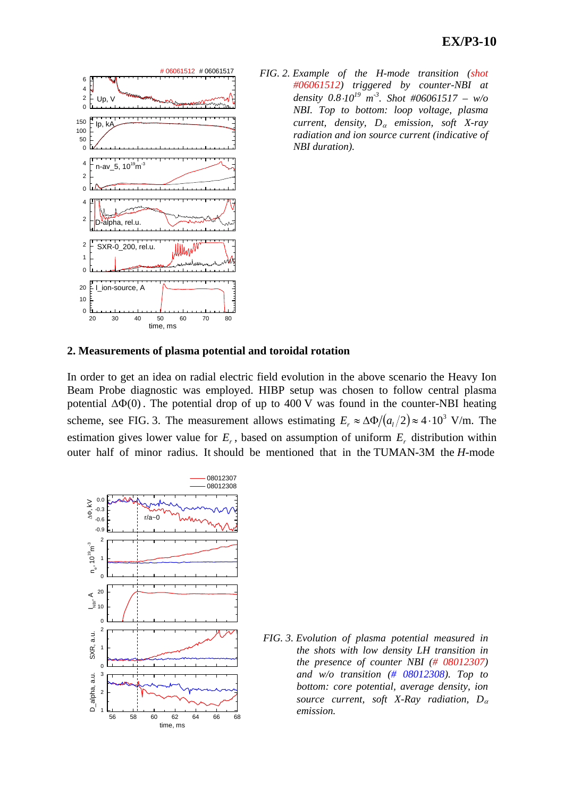

*FIG. 2. Example of the H-mode transition (shot #06061512) triggered by counter-NBI at density*  $0.8 \cdot 10^{19}$  *m*<sup>-3</sup>. Shot #06061517 – w/o *NBI. Top to bottom: loop voltage, plasma current, density, D*α *emission, soft X-ray radiation and ion source current (indicative of NBI duration).* 

#### **2. Measurements of plasma potential and toroidal rotation**

In order to get an idea on radial electric field evolution in the above scenario the Heavy Ion Beam Probe diagnostic was employed. HIBP setup was chosen to follow central plasma potential  $\Delta\Phi(0)$ . The potential drop of up to 400 V was found in the counter-NBI heating scheme, see FIG. 3. The measurement allows estimating  $E_r \approx \Delta \Phi/(a_1/2) \approx 4 \cdot 10^3$  V/m. The estimation gives lower value for  $E_r$ , based on assumption of uniform  $E_r$  distribution within outer half of minor radius. It should be mentioned that in the TUMAN-3M the *H*-mode



*FIG. 3. Evolution of plasma potential measured in the shots with low density LH transition in the presence of counter NBI (# 08012307) and w/o transition (# 08012308). Top to bottom: core potential, average density, ion source current, soft X-Ray radiation, D*<sup>α</sup> *emission.*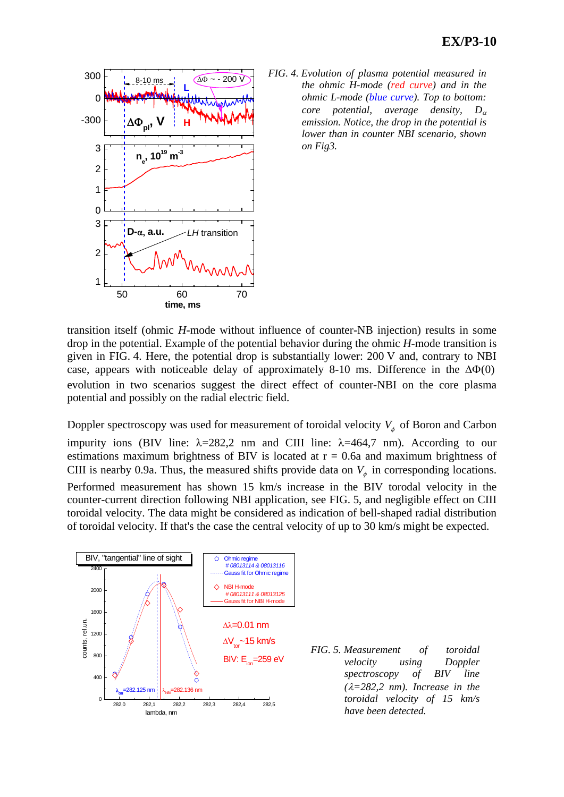

*FIG. 4. Evolution of plasma potential measured in the ohmic H-mode (red curve) and in the ohmic L-mode (blue curve). Top to bottom: core potential, average density, D*<sup>α</sup> *emission. Notice, the drop in the potential is lower than in counter NBI scenario, shown on Fig3.* 

transition itself (ohmic *H*-mode without influence of counter-NB injection) results in some drop in the potential. Example of the potential behavior during the ohmic *H*-mode transition is given in FIG. 4. Here, the potential drop is substantially lower: 200 V and, contrary to NBI case, appears with noticeable delay of approximately 8-10 ms. Difference in the  $\Delta\Phi(0)$ evolution in two scenarios suggest the direct effect of counter-NBI on the core plasma potential and possibly on the radial electric field.

Doppler spectroscopy was used for measurement of toroidal velocity  $V_{\phi}$  of Boron and Carbon impurity ions (BIV line:  $\lambda = 282.2$  nm and CIII line:  $\lambda = 464.7$  nm). According to our estimations maximum brightness of BIV is located at  $r = 0.6a$  and maximum brightness of CIII is nearby 0.9a. Thus, the measured shifts provide data on  $V_{\phi}$  in corresponding locations. Performed measurement has shown 15 km/s increase in the BIV torodal velocity in the counter-current direction following NBI application, see FIG. 5, and negligible effect on CIII toroidal velocity. The data might be considered as indication of bell-shaped radial distribution of toroidal velocity. If that's the case the central velocity of up to 30 km/s might be expected.



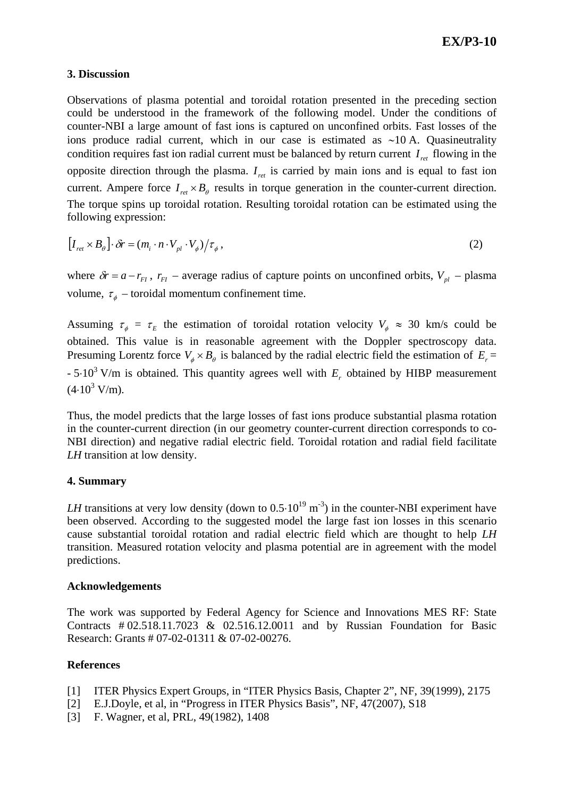### **3. Discussion**

Observations of plasma potential and toroidal rotation presented in the preceding section could be understood in the framework of the following model. Under the conditions of counter-NBI a large amount of fast ions is captured on unconfined orbits. Fast losses of the ions produce radial current, which in our case is estimated as ∼10 A. Quasineutrality condition requires fast ion radial current must be balanced by return current  $I_{ret}$  flowing in the opposite direction through the plasma.  $I_{ret}$  is carried by main ions and is equal to fast ion current. Ampere force  $I_{ret} \times B_{\theta}$  results in torque generation in the counter-current direction. The torque spins up toroidal rotation. Resulting toroidal rotation can be estimated using the following expression:

$$
\left[I_{\text{ret}} \times B_{\theta}\right] \cdot \delta r = \left(m_i \cdot n \cdot V_{\text{pl}} \cdot V_{\phi}\right) / \tau_{\phi},\tag{2}
$$

where  $\delta r = a - r_{FI}$ ,  $r_{FI}$  – average radius of capture points on unconfined orbits,  $V_{pl}$  – plasma volume,  $\tau_{\phi}$  – toroidal momentum confinement time.

Assuming  $\tau_{\phi} = \tau_E$  the estimation of toroidal rotation velocity  $V_{\phi} \approx 30$  km/s could be obtained. This value is in reasonable agreement with the Doppler spectroscopy data. Presuming Lorentz force  $V_{\phi} \times B_{\theta}$  is balanced by the radial electric field the estimation of  $E_{r}$  =  $-5.10<sup>3</sup>$  V/m is obtained. This quantity agrees well with  $E<sub>r</sub>$  obtained by HIBP measurement  $(4.10^3 \text{ V/m}).$ 

Thus, the model predicts that the large losses of fast ions produce substantial plasma rotation in the counter-current direction (in our geometry counter-current direction corresponds to co-NBI direction) and negative radial electric field. Toroidal rotation and radial field facilitate *LH* transition at low density.

### **4. Summary**

*LH* transitions at very low density (down to  $0.5 \cdot 10^{19}$  m<sup>-3</sup>) in the counter-NBI experiment have been observed. According to the suggested model the large fast ion losses in this scenario cause substantial toroidal rotation and radial electric field which are thought to help *LH* transition. Measured rotation velocity and plasma potential are in agreement with the model predictions.

### **Acknowledgements**

The work was supported by Federal Agency for Science and Innovations MES RF: State Contracts # 02.518.11.7023 & 02.516.12.0011 and by Russian Foundation for Basic Research: Grants # 07-02-01311 & 07-02-00276.

## **References**

- [1] ITER Physics Expert Groups, in "ITER Physics Basis, Chapter 2", NF, 39(1999), 2175
- [2] E.J.Doyle, et al, in "Progress in ITER Physics Basis", NF, 47(2007), S18
- [3] F. Wagner, et al, PRL, 49(1982), 1408